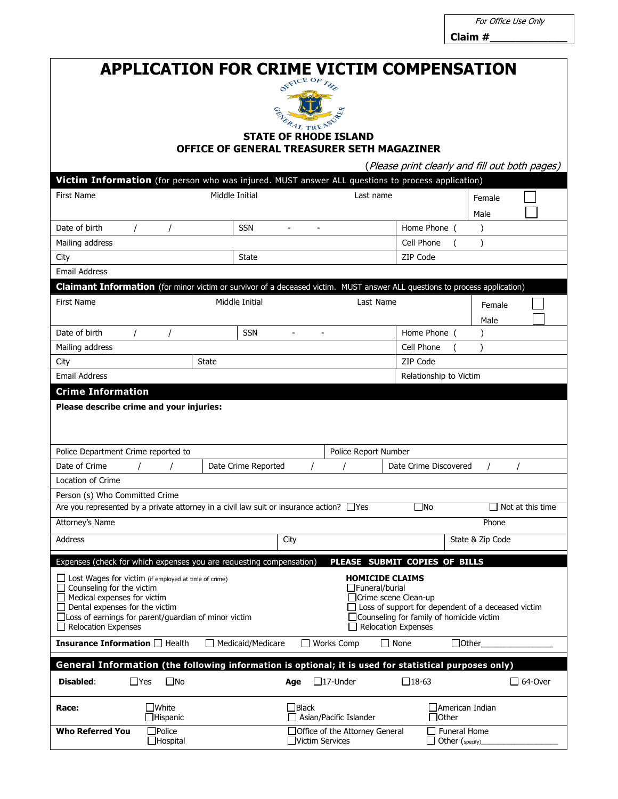For Office Use Only

**Claim #\_\_\_\_\_\_\_\_\_\_\_\_**

# **APPLICATION FOR CRIME VICTIM COMPENSATION**



#### **STATE OF RHODE ISLAND OFFICE OF GENERAL TREASURER SETH MAGAZINER**

(Please print clearly and fill out both pages)

|                                                                                                                                                                                                     |                                  |                          |                 |                                |                               | Piease print ciearly and hil out doth pages) |                |
|-----------------------------------------------------------------------------------------------------------------------------------------------------------------------------------------------------|----------------------------------|--------------------------|-----------------|--------------------------------|-------------------------------|----------------------------------------------|----------------|
| Victim Information (for person who was injured. MUST answer ALL questions to process application)                                                                                                   |                                  |                          |                 |                                |                               |                                              |                |
| <b>First Name</b>                                                                                                                                                                                   |                                  | Middle Initial           |                 | Last name                      |                               | Female                                       |                |
|                                                                                                                                                                                                     |                                  |                          |                 |                                |                               | Male                                         |                |
| Date of birth                                                                                                                                                                                       |                                  | <b>SSN</b>               |                 |                                | Home Phone                    |                                              |                |
| Mailing address                                                                                                                                                                                     |                                  |                          |                 |                                | Cell Phone                    | $\lambda$                                    |                |
| City                                                                                                                                                                                                |                                  | State                    |                 |                                | ZIP Code                      |                                              |                |
| <b>Email Address</b>                                                                                                                                                                                |                                  |                          |                 |                                |                               |                                              |                |
| <b>Claimant Information</b> (for minor victim or survivor of a deceased victim. MUST answer ALL questions to process application)                                                                   |                                  |                          |                 |                                |                               |                                              |                |
| Middle Initial<br><b>First Name</b>                                                                                                                                                                 |                                  |                          |                 | Last Name                      |                               | Female                                       |                |
|                                                                                                                                                                                                     |                                  |                          |                 |                                |                               | Male                                         |                |
| Date of birth                                                                                                                                                                                       |                                  | <b>SSN</b>               | $\blacksquare$  | $\overline{\phantom{a}}$       | Home Phone (                  |                                              |                |
| Mailing address                                                                                                                                                                                     |                                  |                          |                 |                                | Cell Phone                    |                                              |                |
| City                                                                                                                                                                                                |                                  | <b>State</b>             |                 |                                | ZIP Code                      |                                              |                |
| <b>Email Address</b>                                                                                                                                                                                |                                  | Relationship to Victim   |                 |                                |                               |                                              |                |
| <b>Crime Information</b>                                                                                                                                                                            |                                  |                          |                 |                                |                               |                                              |                |
| Please describe crime and your injuries:                                                                                                                                                            |                                  |                          |                 |                                |                               |                                              |                |
|                                                                                                                                                                                                     |                                  |                          |                 |                                |                               |                                              |                |
|                                                                                                                                                                                                     |                                  |                          |                 |                                |                               |                                              |                |
| Police Department Crime reported to                                                                                                                                                                 |                                  |                          |                 | Police Report Number           |                               |                                              |                |
| Date of Crime<br>Date Crime Reported                                                                                                                                                                |                                  |                          |                 | Date Crime Discovered          |                               |                                              |                |
| Location of Crime                                                                                                                                                                                   |                                  |                          |                 |                                |                               |                                              |                |
| Person (s) Who Committed Crime                                                                                                                                                                      |                                  |                          |                 |                                |                               |                                              |                |
| Are you represented by a private attorney in a civil law suit or insurance action? $\Box$ Yes<br>$\square$ No<br>Not at this time                                                                   |                                  |                          |                 |                                |                               |                                              |                |
| Attorney's Name                                                                                                                                                                                     |                                  |                          |                 |                                |                               | Phone                                        |                |
| Address                                                                                                                                                                                             |                                  |                          | City            |                                |                               | State & Zip Code                             |                |
| Expenses (check for which expenses you are requesting compensation)                                                                                                                                 |                                  |                          |                 |                                | PLEASE SUBMIT COPIES OF BILLS |                                              |                |
| <b>HOMICIDE CLAIMS</b>                                                                                                                                                                              |                                  |                          |                 |                                |                               |                                              |                |
| $\Box$ Lost Wages for victim (if employed at time of crime)<br>Counseling for the victim<br>$\Box$ Funeral/burial                                                                                   |                                  |                          |                 |                                |                               |                                              |                |
| Medical expenses for victim<br>□Crime scene Clean-up                                                                                                                                                |                                  |                          |                 |                                |                               |                                              |                |
| Dental expenses for the victim<br>$\Box$ Loss of support for dependent of a deceased victim<br>□ Loss of earnings for parent/guardian of minor victim<br>□ Counseling for family of homicide victim |                                  |                          |                 |                                |                               |                                              |                |
| $\Box$ Relocation Expenses                                                                                                                                                                          |                                  |                          |                 |                                | $\Box$ Relocation Expenses    |                                              |                |
| <b>Insurance Information</b> □ Health                                                                                                                                                               |                                  | $\Box$ Medicaid/Medicare |                 | $\Box$ Works Comp              | $\Box$ None                   | □Other_                                      |                |
| General Information (the following information is optional; it is used for statistical purposes only)                                                                                               |                                  |                          |                 |                                |                               |                                              |                |
|                                                                                                                                                                                                     | $\square$ No                     |                          |                 |                                |                               |                                              | $\Box$ 64-Over |
| $\Box$ Yes<br>Disabled:                                                                                                                                                                             |                                  |                          | Age             | $\Box$ 17-Under                | $\square$ 18-63               |                                              |                |
| Race:                                                                                                                                                                                               | $\square$ White                  |                          | $\Box$ Black    |                                |                               | □ American Indian                            |                |
|                                                                                                                                                                                                     | Hispanic                         |                          |                 | Asian/Pacific Islander         |                               | $\exists$ Other                              |                |
| <b>Who Referred You</b>                                                                                                                                                                             | $\Box$ Police<br>$\Box$ Hospital |                          | Victim Services | Office of the Attorney General |                               | <b>Funeral Home</b>                          |                |
|                                                                                                                                                                                                     |                                  |                          |                 |                                |                               | Other (specify)                              |                |